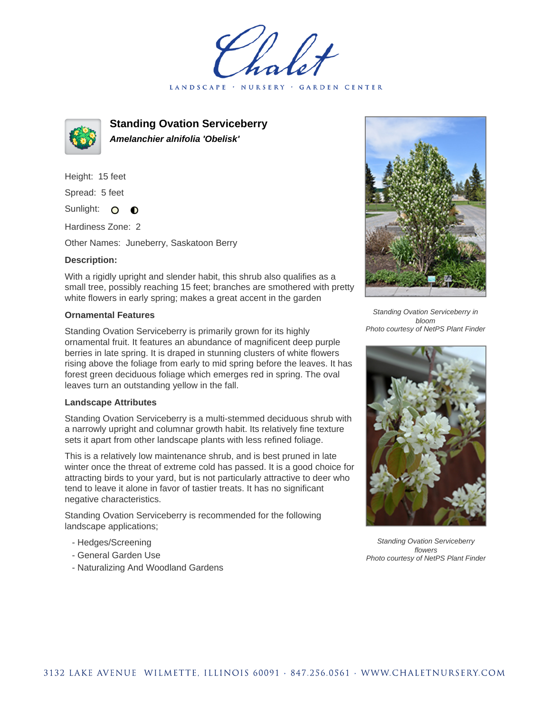LANDSCAPE · NURSERY · GARDEN CENTER



**Standing Ovation Serviceberry Amelanchier alnifolia 'Obelisk'**

Height: 15 feet Spread: 5 feet Sunlight: O

Hardiness Zone: 2

Other Names: Juneberry, Saskatoon Berry

 $\bullet$ 

## **Description:**

With a rigidly upright and slender habit, this shrub also qualifies as a small tree, possibly reaching 15 feet; branches are smothered with pretty white flowers in early spring; makes a great accent in the garden

## **Ornamental Features**

Standing Ovation Serviceberry is primarily grown for its highly ornamental fruit. It features an abundance of magnificent deep purple berries in late spring. It is draped in stunning clusters of white flowers rising above the foliage from early to mid spring before the leaves. It has forest green deciduous foliage which emerges red in spring. The oval leaves turn an outstanding yellow in the fall.

## **Landscape Attributes**

Standing Ovation Serviceberry is a multi-stemmed deciduous shrub with a narrowly upright and columnar growth habit. Its relatively fine texture sets it apart from other landscape plants with less refined foliage.

This is a relatively low maintenance shrub, and is best pruned in late winter once the threat of extreme cold has passed. It is a good choice for attracting birds to your yard, but is not particularly attractive to deer who tend to leave it alone in favor of tastier treats. It has no significant negative characteristics.

Standing Ovation Serviceberry is recommended for the following landscape applications;

- Hedges/Screening
- General Garden Use
- Naturalizing And Woodland Gardens



Standing Ovation Serviceberry in bloom Photo courtesy of NetPS Plant Finder



Standing Ovation Serviceberry flowers Photo courtesy of NetPS Plant Finder